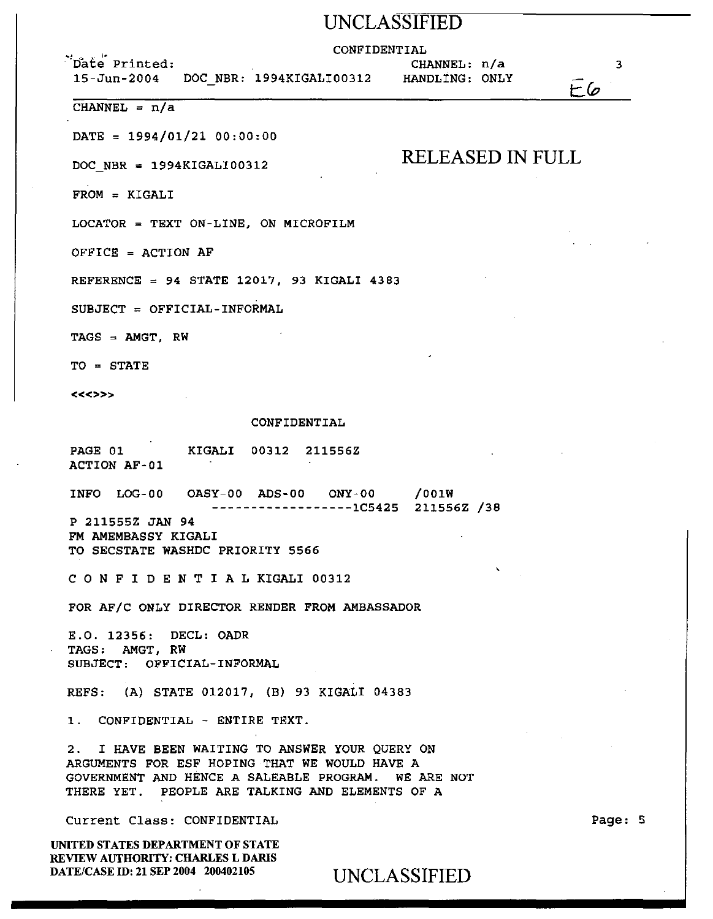# UNCLASSIFIED

### CONFIDENTIAL

''oat~· Printed: 15-Jun-2004

DOC NBR: 1994KIGALI00312 HANDLING: ONLY CHANNEL: n/a

RELEASED IN FULL

 $CHANNEL = n/a$ 

 $\text{DATE} = 1994/01/21 00:00:00$ 

DOC NBR = 1994KIGALI00312

FROM = KIGALI

LOCATOR = TEXT ON-LINE, ON MICROFILM

OFFICE = ACTION AF

REFERENCE = 94 STATE 12017, 93 KIGALI 4383

 $SUBJECT = OFFICIAL-INFORMAL$ 

TAGS = AMGT, RW

TO = STATE

<<<>>>

#### CONFIDENTIAL

PAGE 01 KIGALI 00312 211556Z ACTION AF-01

INFO LOG-00 OASY-00 ADS-00 ONY-00 /OOlW

------------------1C5425 211556Z /38

P 211555Z JAN 94 FM AMEMBASSY KIGALI TO SECSTATE WASHDC PRIORITY 5566

C 0 N F I D E N T I A L KIGALI 00312

FOR AF/C ONLY DIRECTOR RENDER FROM AMBASSADOR

E.O. 12356: DECL: OADR TAGS: AMGT, RW SUBJECT: OFFICIAL-INFORMAL

REFS: (A) STATE 012017, (B) 93 KIGALI 04383

1. CONFIDENTIAL - ENTIRE TEXT.

2. I HAVE BEEN WAITING TO ANSWER YOUR QUERY ON ARGUMENTS FOR ESF HOPING THAT WE WOULD HAVE A GOVERNMENT AND HENCE A SALEABLE PROGRAM. WE ARE NOT THERE YET. PEOPLE ARE TALKING AND ELEMENTS OF A

Current Class: CONFIDENTIAL

UNITED STATES DEPARTMENT OF STATE REVIEW AUTHORITY: CHARLES L DARIS DATE/CASE ID: 21 SEP 2004 200402105 UNCLASSIFIED Page: 5

3

 $E6$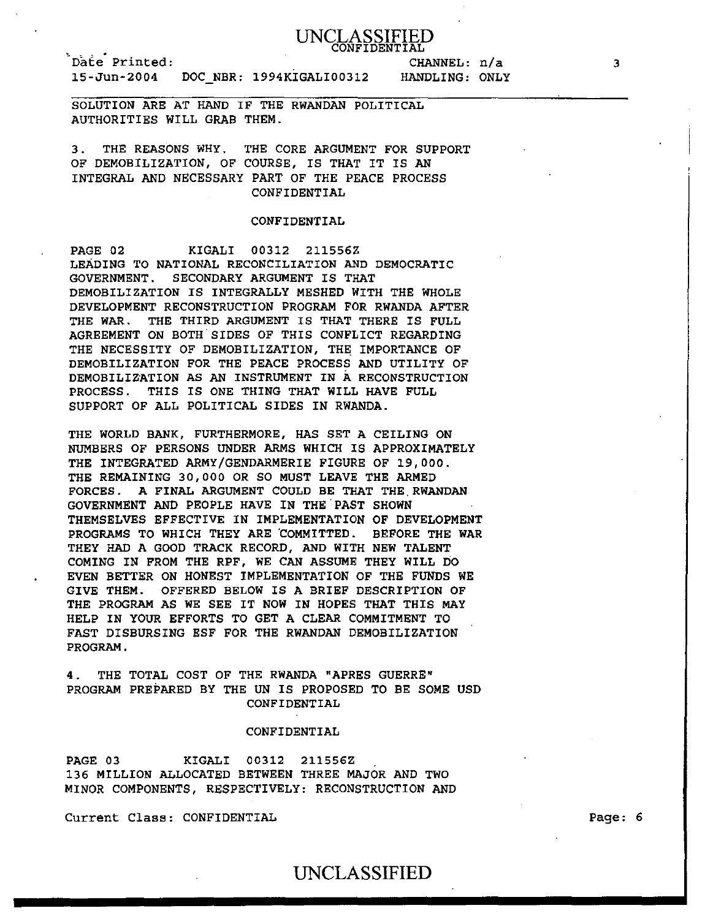

Date Printed:<br>15-Jun-2004 DOC\_NBR: 1994KIGALI00312

CHANNEL: n/a HANDLING: ONLY

SOLUTION ARE AT HAND IF THE RWANDAN POLITICAL AUTHORITIES WILL GRAB THEM.

3. THE REASONS WHY. THE CORE ARGUMENT FOR SUPPORT OF DEMOBILIZATION, OF COURSE, IS THAT IT IS AN INTEGRAL AND NECESSARY PART OF THE PEACE PROCESS CONFIDENTIAL

## CONFIDENTIAL

PAGE 02 KIGALI 00312 211556Z LEADING TO NATIONAL RECONCILIATION AND DEMOCRATIC GOVERNMENT. SECONDARY ARGUMENT IS THAT DEMOBILIZATION IS INTEGRALLY MESHED WITH THE WHOLE DEVELOPMENT RECONSTRUCTION PROGRAM FOR RWANDA AFTER THE WAR. THE THIRD ARGUMENT IS THAT THERE IS FULL AGREEMENT ON BOTH SIDES OF THIS CONFLICT REGARDING THE NECESSITY OF DEMOBILIZATION, THE IMPORTANCE OF DEMOBILIZATION FOR THE PEACE PROCESS AND UTILITY OF DEMOBILIZATION AS AN INSTRUMENT IN A RECONSTRUCTION PROCESS. THIS IS ONE THING THAT WILL HAVE FULL SUPPORT OF ALL POLITICAL SIDES IN RWANDA.

THE WORLD BANK, FURTHERMORE, HAS SET A CEILING ON NUMBERS OF PERSONS UNDER ARMS WHICH IS APPROXIMATELY THE INTEGRATED ARMY/GENDARMERIE FIGURE OF 19,000. THE REMAINING 30,000 OR SO MUST LEAVE THE ARMED FORCES. A FINAL ARGUMENT COULD BE THAT THE RWANDAN GOVERNMENT AND PEOPLE HAVE IN THE PAST SHOWN THEMSELVES EFFECTIVE IN IMPLEMENTATION OF DEVELOPMENT PROGRAMS TO WHICH THEY ARE COMMITTED. BEFORE THE WAR THEY HAD A GOOD TRACK RECORD, AND WITH NEW TALENT COMING IN FROM THE RPF, WE CAN ASSUME THEY WILL DO EVEN BETTER ON HONEST IMPLEMENTATION OF THE FUNDS WE GIVE THEM. OFFERED BELOW IS A BRIEF DESCRIPTION OF THE PROGRAM AS WE SEE IT NOW IN HOPES THAT THIS MAY HELP IN YOUR EFFORTS TO GET A CLEAR COMMITMENT TO FAST DISBURSING ESF FOR THE RWANDAN DEMOBILIZATION PROGRAM.

4. THE TOTAL COST OF THE RWANDA "APRES GUERRE" PROGRAM PREPARED BY THE UN IS PROPOSED TO BE SOME USD CONFIDENTIAL

## CONFIDENTIAL

PAGE 03 KIGALI 00312 211556Z 136 MILLION ALLOCATED BETWEEN THREE MAJOR AND TWO MINOR COMPONENTS, RESPECTIVELY: RECONSTRUCTION AND

Current Class: CONFIDENTIAL

Page: 6

## UNCLASSIFIED

3